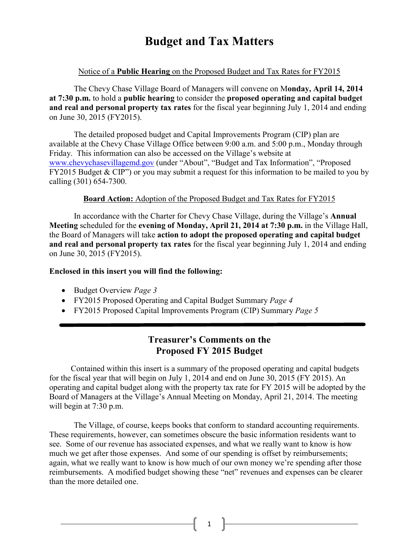# **Budget and Tax Matters**

### Notice of a **Public Hearing** on the Proposed Budget and Tax Rates for FY2015

The Chevy Chase Village Board of Managers will convene on M**onday, April 14, 2014 at 7:30 p.m.** to hold a **public hearing** to consider the **proposed operating and capital budget and real and personal property tax rates** for the fiscal year beginning July 1, 2014 and ending on June 30, 2015 (FY2015).

The detailed proposed budget and Capital Improvements Program (CIP) plan are available at the Chevy Chase Village Office between 9:00 a.m. and 5:00 p.m., Monday through Friday. This information can also be accessed on the Village's website at [www.chevychasevillagemd.gov](http://www.chevychasevillagemd.gov/) (under "About", "Budget and Tax Information", "Proposed FY2015 Budget & CIP") or you may submit a request for this information to be mailed to you by calling (301) 654-7300.

#### **Board Action:** Adoption of the Proposed Budget and Tax Rates for FY2015

In accordance with the Charter for Chevy Chase Village, during the Village's **Annual Meeting** scheduled for the **evening of Monday, April 21, 2014 at 7:30 p.m.** in the Village Hall, the Board of Managers will take **action to adopt the proposed operating and capital budget and real and personal property tax rates** for the fiscal year beginning July 1, 2014 and ending on June 30, 2015 (FY2015).

#### **Enclosed in this insert you will find the following:**

- Budget Overview *Page 3*
- FY2015 Proposed Operating and Capital Budget Summary *Page 4*
- FY2015 Proposed Capital Improvements Program (CIP) Summary *Page 5*

## **Treasurer's Comments on the Proposed FY 2015 Budget**

Contained within this insert is a summary of the proposed operating and capital budgets for the fiscal year that will begin on July 1, 2014 and end on June 30, 2015 (FY 2015). An operating and capital budget along with the property tax rate for FY 2015 will be adopted by the Board of Managers at the Village's Annual Meeting on Monday, April 21, 2014. The meeting will begin at 7:30 p.m.

The Village, of course, keeps books that conform to standard accounting requirements. These requirements, however, can sometimes obscure the basic information residents want to see. Some of our revenue has associated expenses, and what we really want to know is how much we get after those expenses. And some of our spending is offset by reimbursements; again, what we really want to know is how much of our own money we're spending after those reimbursements. A modified budget showing these "net" revenues and expenses can be clearer than the more detailed one.

 $\begin{pmatrix} 1 \end{pmatrix}$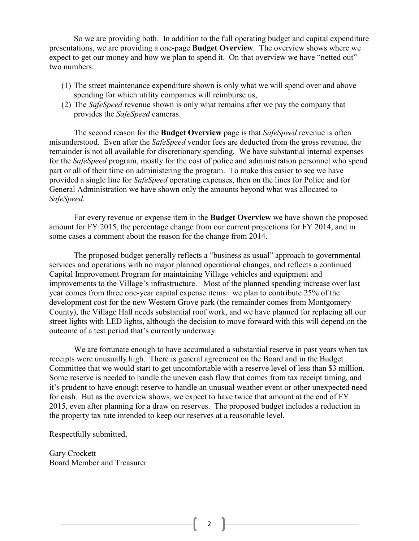So we are providing both. In addition to the full operating budget and capital expenditure presentations, we are providing a one-page **Budget Overview**. The overview shows where we expect to get our money and how we plan to spend it. On that overview we have "netted out" two numbers:

- (1) The street maintenance expenditure shown is only what we will spend over and above spending for which utility companies will reimburse us,
- (2) The *SafeSpeed* revenue shown is only what remains after we pay the company that provides the *SafeSpeed* cameras.

The second reason for the **Budget Overview** page is that *SafeSpeed* revenue is often misunderstood. Even after the *SafeSpeed* vendor fees are deducted from the gross revenue, the remainder is not all available for discretionary spending. We have substantial internal expenses for the *SafeSpeed* program, mostly for the cost of police and administration personnel who spend part or all of their time on administering the program. To make this easier to see we have provided a single line for *SafeSpeed* operating expenses, then on the lines for Police and for General Administration we have shown only the amounts beyond what was allocated to *SafeSpeed.*

For every revenue or expense item in the **Budget Overview** we have shown the proposed amount for FY 2015, the percentage change from our current projections for FY 2014, and in some cases a comment about the reason for the change from 2014.

The proposed budget generally reflects a "business as usual" approach to governmental services and operations with no major planned operational changes, and reflects a continued Capital Improvement Program for maintaining Village vehicles and equipment and improvements to the Village's infrastructure. Most of the planned spending increase over last year comes from three one-year capital expense items: we plan to contribute 25% of the development cost for the new Western Grove park (the remainder comes from Montgomery County), the Village Hall needs substantial roof work, and we have planned for replacing all our street lights with LED lights, although the decision to move forward with this will depend on the outcome of a test period that's currently underway.

We are fortunate enough to have accumulated a substantial reserve in past years when tax receipts were unusually high. There is general agreement on the Board and in the Budget Committee that we would start to get uncomfortable with a reserve level of less than \$3 million. Some reserve is needed to handle the uneven cash flow that comes from tax receipt timing, and it's prudent to have enough reserve to handle an unusual weather event or other unexpected need for cash. But as the overview shows, we expect to have twice that amount at the end of FY 2015, even after planning for a draw on reserves. The proposed budget includes a reduction in the property tax rate intended to keep our reserves at a reasonable level.

Respectfully submitted,

Gary Crockett Board Member and Treasurer

2  $\|$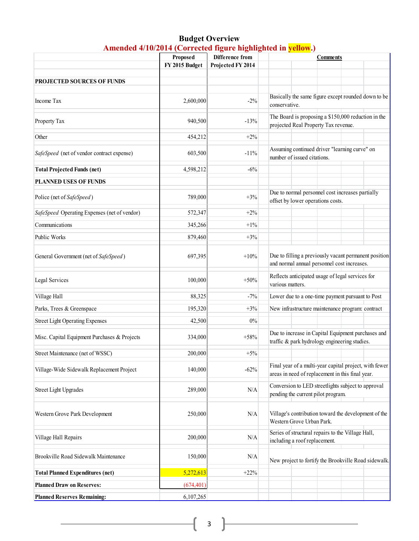#### **Budget Overview Amended 4/10/2014 (Corrected figure highlighted in yellow.)**

|                                              | Proposed<br>Difference from |                   | <b>Comments</b>                                                                                            |  |  |
|----------------------------------------------|-----------------------------|-------------------|------------------------------------------------------------------------------------------------------------|--|--|
|                                              | FY 2015 Budget              | Projected FY 2014 |                                                                                                            |  |  |
| <b>PROJECTED SOURCES OF FUNDS</b>            |                             |                   |                                                                                                            |  |  |
|                                              |                             |                   | Basically the same figure except rounded down to be                                                        |  |  |
| Income Tax                                   | 2,600,000                   | $-2\%$            | conservative.                                                                                              |  |  |
| Property Tax                                 | 940,500                     | $-13%$            | The Board is proposing a \$150,000 reduction in the<br>projected Real Property Tax revenue.                |  |  |
| Other                                        | 454,212                     | $+2%$             |                                                                                                            |  |  |
| SafeSpeed (net of vendor contract expense)   | 603,500                     | $-11%$            | Assuming continued driver "learning curve" on<br>number of issued citations.                               |  |  |
| <b>Total Projected Funds (net)</b>           | 4,598,212                   | $-6%$             |                                                                                                            |  |  |
| <b>PLANNED USES OF FUNDS</b>                 |                             |                   |                                                                                                            |  |  |
| Police (net of SafeSpeed)                    | 789,000                     | $+3%$             | Due to normal personnel cost increases partially<br>offset by lower operations costs.                      |  |  |
| SafeSpeed Operating Expenses (net of vendor) | 572,347                     | $+2%$             |                                                                                                            |  |  |
| Communications                               | 345,266                     | $+1\%$            |                                                                                                            |  |  |
| Public Works                                 | 879,460                     | $+3%$             |                                                                                                            |  |  |
| General Government (net of SafeSpeed)        | 697,395                     | $+10%$            | Due to filling a previously vacant permanent position<br>and normal annual personnel cost increases.       |  |  |
| Legal Services                               | 100,000                     | $+50%$            | Reflects anticipated usage of legal services for<br>various matters.                                       |  |  |
| Village Hall                                 | 88,325                      | $-7%$             | Lower due to a one-time payment pursuant to Post                                                           |  |  |
| Parks, Trees & Greenspace                    | 195,320                     | $+3%$             | New infrastructure maintenance program: contract                                                           |  |  |
| <b>Street Light Operating Expenses</b>       | 42,500                      | $0\%$             |                                                                                                            |  |  |
| Misc. Capital Equipment Purchases & Projects | 334,000                     | $+58%$            | Due to increase in Capital Equipment purchases and<br>traffic & park hydrology engineering studies.        |  |  |
| Street Maintenance (net of WSSC)             | 200,000                     | $+5%$             |                                                                                                            |  |  |
| Village-Wide Sidewalk Replacement Project    | 140,000                     | $-62%$            | Final year of a multi-year capital project, with fewer<br>areas in need of replacement in this final year. |  |  |
| <b>Street Light Upgrades</b>                 | 289,000                     | N/A               | Conversion to LED streetlights subject to approval<br>pending the current pilot program.                   |  |  |
| Western Grove Park Development               | 250,000                     | N/A               | Village's contribution toward the development of the<br>Western Grove Urban Park.                          |  |  |
| Village Hall Repairs                         | 200,000                     | N/A               | Series of structural repairs to the Village Hall,<br>including a roof replacement.                         |  |  |
| Brookville Road Sidewalk Maintenance         | 150,000                     | N/A               | New project to fortify the Brookville Road sidewalk.                                                       |  |  |
| <b>Total Planned Expenditures (net)</b>      | 5,272,613                   | $+22%$            |                                                                                                            |  |  |
| <b>Planned Draw on Reserves:</b>             | (674, 401)                  |                   |                                                                                                            |  |  |
| <b>Planned Reserves Remaining:</b>           | 6,107,265                   |                   |                                                                                                            |  |  |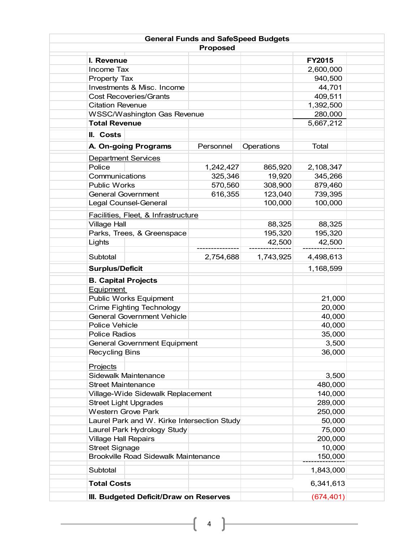|                                             | <b>General Funds and SafeSpeed Budgets</b> |            |                         |
|---------------------------------------------|--------------------------------------------|------------|-------------------------|
|                                             | <b>Proposed</b>                            |            |                         |
| I. Revenue                                  |                                            |            | <b>FY2015</b>           |
| Income Tax                                  |                                            |            | 2,600,000               |
| <b>Property Tax</b>                         |                                            |            | 940,500                 |
| Investments & Misc. Income                  |                                            |            | 44,701                  |
| <b>Cost Recoveries/Grants</b>               |                                            |            | 409,511                 |
| <b>Citation Revenue</b>                     |                                            |            | 1,392,500               |
| <b>WSSC/Washington Gas Revenue</b>          |                                            |            | 280,000                 |
| <b>Total Revenue</b>                        |                                            |            | 5,667,212               |
| II. Costs                                   |                                            |            |                         |
|                                             |                                            |            |                         |
| A. On-going Programs                        | Personnel                                  | Operations | Total                   |
| <b>Department Services</b>                  |                                            |            |                         |
| Police                                      | 1,242,427                                  | 865,920    | 2,108,347               |
| Communications                              | 325,346                                    | 19,920     | 345,266                 |
| <b>Public Works</b>                         | 570,560                                    | 308,900    | 879,460                 |
| <b>General Government</b>                   | 616,355                                    | 123,040    | 739,395                 |
| Legal Counsel-General                       |                                            | 100,000    | 100,000                 |
| Facilities, Fleet, & Infrastructure         |                                            |            |                         |
| <b>Village Hall</b>                         |                                            | 88,325     | 88,325                  |
| Parks, Trees, & Greenspace                  |                                            | 195,320    | 195,320                 |
| Lights                                      |                                            | 42,500     | 42,500                  |
|                                             |                                            |            |                         |
| Subtotal                                    | 2,754,688                                  | 1,743,925  | 4,498,613               |
| <b>Surplus/Deficit</b>                      |                                            |            | 1,168,599               |
| <b>B. Capital Projects</b>                  |                                            |            |                         |
| Equipment                                   |                                            |            |                         |
| Public Works Equipment                      |                                            |            | 21,000                  |
| <b>Crime Fighting Technology</b>            |                                            |            | 20,000                  |
| <b>General Government Vehicle</b>           |                                            |            | 40,000                  |
| <b>Police Vehicle</b>                       |                                            |            | 40,000                  |
| <b>Police Radios</b>                        |                                            |            | 35,000                  |
|                                             | <b>General Government Equipment</b>        |            |                         |
| <b>Recycling Bins</b>                       |                                            |            | 36,000                  |
| Projects                                    |                                            |            |                         |
| Sidewalk Maintenance                        |                                            |            | 3,500                   |
| <b>Street Maintenance</b>                   |                                            |            | 480,000                 |
| Village-Wide Sidewalk Replacement           |                                            |            | 140,000                 |
| <b>Street Light Upgrades</b>                |                                            |            | 289,000                 |
| <b>Western Grove Park</b>                   |                                            |            | 250,000                 |
| Laurel Park and W. Kirke Intersection Study |                                            |            | 50,000                  |
| Laurel Park Hydrology Study                 |                                            |            | 75,000                  |
| <b>Village Hall Repairs</b>                 |                                            |            | 200,000                 |
| <b>Street Signage</b>                       |                                            |            | 10,000                  |
| <b>Brookville Road Sidewalk Maintenance</b> |                                            |            | 150,000                 |
| Subtotal                                    |                                            |            | 1,843,000               |
|                                             |                                            |            |                         |
| <b>Total Costs</b>                          |                                            |            | 6,341,613<br>(674, 401) |
|                                             | III. Budgeted Deficit/Draw on Reserves     |            |                         |